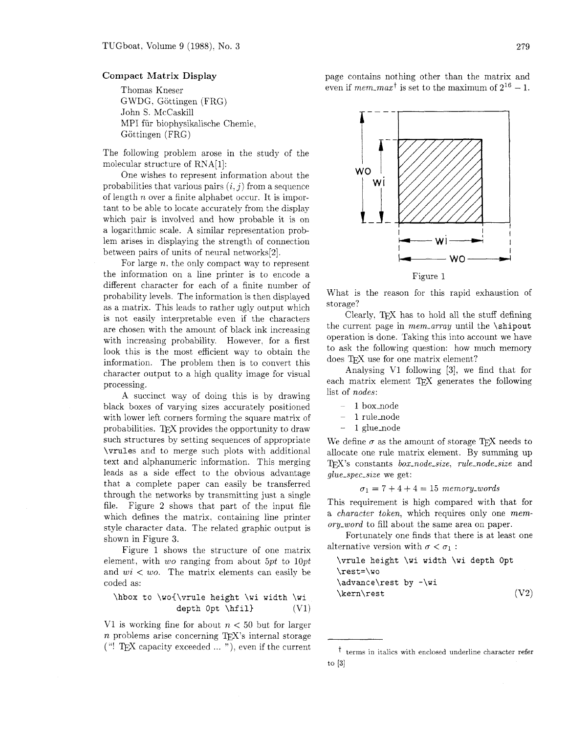## Compact **Matrix Display**

Thomas Kneser GWDG. Gottingen (FRG) John S. McCaskill MPI fiir biophysikalische Chemie, Göttingen (FRG)

The following problem arose in the study of the molecular structure of RNA[l]:

One wishes to represent information about the probabilities that various pairs  $(i, j)$  from a sequence of length n over a finite alphabet occur. It is important to be able to locate accurately from the display which pair is involved and how probable it is on a logarithmic scale. A similar representation problem arises in displaying the strength of connection between pairs of units of neural networks[2].

For large  $n$ , the only compact way to represent the information on a line printer is to encode a different character for each of a finite number of probability levels. The information is then displayed as a matrix. This leads to rather ugly output which is not easily interpretable even if the characters are chosen with the amount of black ink increasing with increasing probability. However, for a first look this is the most efficient way to obtain the information. The problem then is to convert this character output to a high quality image for visual processing.

A succinct way of doing this is by drawing black boxes of varying sizes accurately positioned with lower left corners forming the square matrix of probabilities. TEX provides the opportunity to draw such structures by setting sequences of appropriate **\vrules** and to merge such plots with additional text and alphanumeric information. This merging leads as a side effect to the obvious advantage that a complete paper can easily be transferred through the networks by transmitting just a single file. Figure 2 shows that part of the input file which defines the matrix, containing line printer style character data. The related graphic output is shown in Figure **3.** 

Figure 1 shows the structure of one matrix element, with wo ranging from about *5pt* to *lOpt*  and  $wi < w$ . The matrix elements can easily be coded as:

**\hbox to \woC\vrule height \wi width \wi depth Opt \hfill** *(v1)* 

*V1* is working fine for about  $n < 50$  but for larger  $n$  problems arise concerning T<sub>E</sub>X's internal storage ("! TEX capacity exceeded  $\ldots$ "), even if the current page contains nothing other than the matrix and even if *mem\_max*<sup>†</sup> is set to the maximum of  $2^{16} - 1$ .



What is the reason for this rapid exhaustion of storage?

Clearly, TEX has to hold all the stuff defining the current page in *mem,-array* until the **\shipout**  operation is done. Taking this into account we have to ask the following question: how much memory does TFX use for one matrix element?

Analysing V1 following  $[3]$ , we find that for each matrix element  $T\not\!\!pX$  generates the following list of *nodes:* 

- 1 box\_node
- 1 rule\_node
- $-1$  glue\_node

We define  $\sigma$  as the amount of storage T<sub>F</sub>X needs to allocate one rule matrix element. By summing up T<sub>F</sub>X's constants *box-node-size*, *rule-node-size* and *glue-spec-size* we get:

## $\sigma_1 = 7 + 4 + 4 = 15$  *memory\_words*

This requirement is high compared with that for a *character token,* which requires only one *memory-word* to fill about the same area on paper.

Fortunately one finds that there is at least one alternative version with  $\sigma < \sigma_1$ :

**\vrule height \wi width \wi depth Opt \rest=\wo \advance\rest by -\wi \kern\rest** (v2)

 $\dagger$  terms in italics with enclosed underline character refer to  $[3]$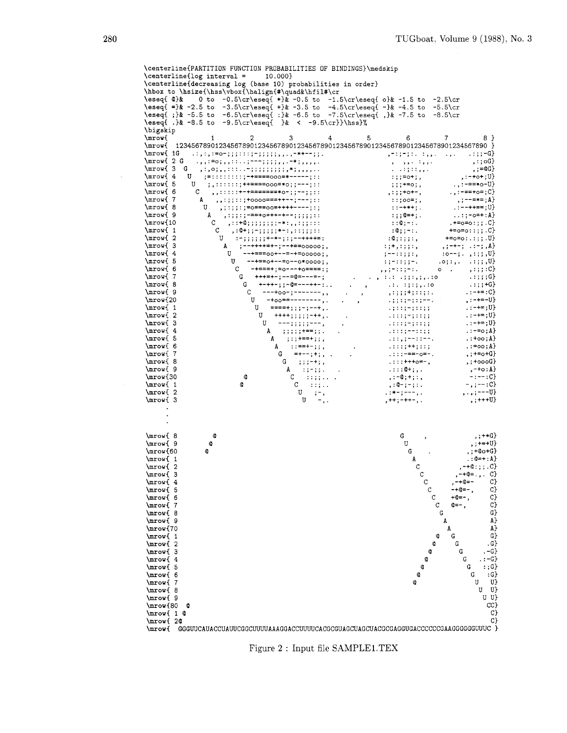\centerline{PARTITION FUNCTION PROBABILITIES OF BINDINGS)\medskip  $\centering \begin{align*} \text{centering} \quad 10.000 \end{align*}$ \centerline{decreasing log (base 10) probabilities in order) \hbox to **\hsize~\hss\vbox~\halign~#\quad&\hfil#\cr**  \eseqC Q)& **0** to -0.5\cr\eseq{ \*)& -0.5 to -1.5\cr\eseqi o)& -1.5 to -2.5\cr \eseqC =)% -2.5 to -3.5\cr\eseqC +)& -3.5 to -4.5\cr\eseqC -)& -4.5 to -5.5\cr \eseq{ ;)& -5.5 to -6.5\cr\eseqC :)& -6.5 to -7.S\cr\eseqC ,)& -7.5 to -8.5\cr  $\text{e}$  .)& -8.5 to -9.5\cr\eseq{ }& < -9.5\cr}}\hss}% \bigskip<br>\mrow{ \mow{ 1 2 3 4 5 6 7 8) \mrowI 12345678901234567890123456789012345678901234567890123456789012345678901234567890 **1**  ; =:::::::;++====000=\*0-;;---;::<br>U ;,:::::;++====000=\*0-;;---;::<br>С ,,:::::++=======\*0-;;--;;::<br>A ,,:;;::;+0000===++--;---;;:  $\ldots$ , : -==+o=; C} \mrow{ 6  $, :;;+\circ+\neg,$ ; ; ; ; o = ; ,<br>: : ; o = ; ,<br>: : -+\*+ ; .  $, ; -- == ; A$ <br> $. : --++ == ; U$ \mrow{ 7 д ,,:;;::;+оооо===++--;---;::<br>U ,;:;;:;=о===оо=++++----;;;<br>A ,:;;:;-==+о+++-+--;;;;;:: U<br>
U<br>
,;;;;;=o==oo=++++----;;;<br>
A<br>
,:;;;;===+o+++-+--;;;;;;:<br>
C<br>
,:0+;;-;;;;;;+-:,:;;;;::<br>
C<br>
,:0+;;-;;;;;;+-:,:;;;;;: \mrow{ 8  $: \{9=1\}$ <br> $: \{0=1\}$ <br> $: \{0, -1\}$ <br> $: \{0, -1\}$ <br> $: \{0, -1\}$ <br> $: \{0, 0, 1\}$  $\ldots$ ; - o=+: A} \mrow{ 9 ..:;-o=+:A}<br>..+=o=o:;;.C}<br>+=o=o::;;.C}<br>+=o=o:.:;;.U}<br>.:-+-; .:-;.A}  $\max(10$  $\text{Imrov}$   $1$  $C$ ,  $: 4$ ;  $-$ ;  $...$ ,  $...$ ,  $...$ ,  $...$ <br>  $U$  :  $-$ ;  $...$ ;  $...$ ;  $+$  +  $-$ ;  $...$  $\max$  2 :-;;;;;;+-\*-;:;--++++=:<br>A ;--++++=+-;--+==00000;,<br>U --+===00+--=-+=00000;,  $\frac{1}{1}$ ;  $\frac{1}{1}$ ;  $\frac{1}{1}$ ;  $\frac{1}{1}$ ;  $\frac{1}{1}$ ;  $\frac{1}{1}$ \mrow{ 3  $\mathbf{A}$  $, ; -+ - ; . : -; , A$ \mrow{ 4  $: 0--; . , :; ; , U$  $U$  --+==o+--=o--o\*oooo;,  $0; 1; 1; 1; 1; 0; 0$ \mrow{ 5 -+===+;=o---+o====:; \mrow{ 6  $\mathbf{C}$  $0 \t, \t, \t, \t; \t; C$  $\max$  7  $G \rightarrow$  +++=+-;--=@=---=-;  $\ldots$ ;;;;c} \mrow{ 8  $\alpha = \frac{1}{2}$  , and  $\frac{1}{2}$  ,  $\frac{1}{2}$  ,  $\frac{1}{2}$  ,  $\frac{1}{2}$  ,  $\frac{1}{2}$  ,  $\frac{1}{2}$  ,  $\frac{1}{2}$  $...::++G$ \mrow{ 9  $\sim$  $\overline{\phantom{a}}$  $\cdot : - += : C$ ; =+= : C}<br>, : -+=-U}<br>. : -+= ; U}<br>. : -+= ; U} \mrow{20  $\left\{ \begin{array}{c} \left( \begin{array}{c} 1 & 0 & 0 \\ 0 & 0 & 1 \end{array} \right) \begin{array}{c} \left( \begin{array}{c} 1 & 0 \\ 0 & 1 \end{array} \right) \begin{array}{c} -1 & 0 \\ 0 & 0 \end{array} \end{array} \right\}$ U ====+;;;-;--+,.<br>U ++++;;;;;;-++,. \mrow{ 1  $1.3:1:3=3:1:3:5$  $\ldots$  : : : ;  $\frac{1}{2}$  = ; : : ; ; ;  $\ldots$  $\ldots$  -+=; U} \mrow{2 ++++;;;;;;-++,.<br>---;;;;;----,<br>;;;;;+==;;.<br>A ;:;+==+;;,<br>A ::=+--;;,<br>G =+--;;,<br>G =+--;;,.<br>G ;;:-+;,<br>G ;;:-+;, \mrow{ 3  $\mathbf{U}$  $... \rightarrow + =$ ; U \mrow{ 4  $A$  ;;;;;; +==;;.  $\cdots$  = =  $\circ$  ; A) \mrow{ 5  $\ldots + \infty$ ; A  $\mathbf{A}$ \mrow{ 6  $\ldots = \circ \circ : A$  $, ; += \circ + G$ \mrow{ 7  $G$  ;;;-+;,<br>A :;-;;. \mrow{ 8 ,;+oooG}  $^{-}$ , -+o: A}<br>-:--: C} \mrow{ 9  $\frac{1}{2}$ , : -0; +; : ,<br>, : 0 - ; - ; : . \mrow{30  $\mathfrak{a}$  $\sim$  1000 per second  $\sim$  $\mathbf C$  $-$ ,;--:C} \mrow{ 1  $\mathbf{C}$  $\begin{bmatrix} 0 & 0 & 0 \\ 0 & 0 & -1 \\ 0 & 0 & 0 \end{bmatrix}$  $, \ldots, \frac{1}{1}$  $1:***;---,1$ \mrov{ 2  $\left( -\right)$ .  $, ;+++U$  $\max_{3}$  $, + +; - + + -,$ .  $\mathbf{r}$ \mrow{ 8  $\boldsymbol{\omega}$ G.  $,;***G$  $, ; +=+U$  $\frac{1}{2}$  $\ddot{\mathbf{0}}$  $\Pi$  $,$   $;$  +0 $o$  +  $G$ } \mrow{60  $\ddot{\mathbf{c}}$ G. \mrow{ 1  $: @=+: A$ A  $, -+@: ; ; .C$ \mrow{ 2 \mrow{ 3  $\rm{C}$  $, -+@= . , . C$  $, -+0=-$ \mrow{ 4  $\mathcal{C}$  $C$ -+Q=-,  $\mathbf{C}$  $C<sub>2</sub>$ \mrow{ 5  $\mathbf{C}$  $+0=-,$ C} \mrow{ 6  $\epsilon$ \mrow{ 7 Q=-,  $\mathbf{C}$ \mrow{ 8 G G} \mrow{ 9  $\overline{A}$ A} A} \mrow{70  $\Lambda$  $\mathbf G$  $G$ \mrow{ 1  $\mathbf{Q}$  $\mathfrak{a}$  $\mathcal{C}$ \mrow{ 2  $\boldsymbol{\omega}$ \mrow{ 3  $\bullet$ G  $.-G$ \mrow{ 4  $\mathbf{G}$  $. : -G$ **a**  ${\bf G}$ \mrow{ 5  $\mathbf 0$  $\cdot$ : G} \mrow{ 6  $\circ$  ${\bf G}$  $:G$  $\mathbf Q$  $\mathtt U$ U} \mrow{ 7  $U$   $U$ }  $\text{Mm}$ U U} \mrow{ 9 \mrow{80  $\circ$ CC} C} \mrow{ 1 @<br>\mrow{ 2@ \mrow{ 20 C> \MOW{ GGGWCAUACCUAWCGGCWWAAAGGACCWWCACGCGUAGCUAGCUACGCGAGGUGACCCCCCGAAGGGGGGWVC

Figure **2** : Input file SAMPLE1.TEX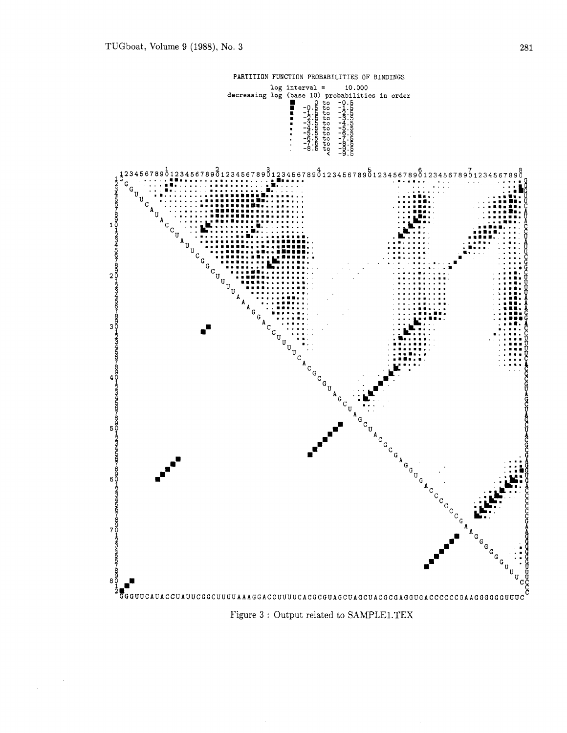

Figure **3** : Output related to SAMPLE1.TEX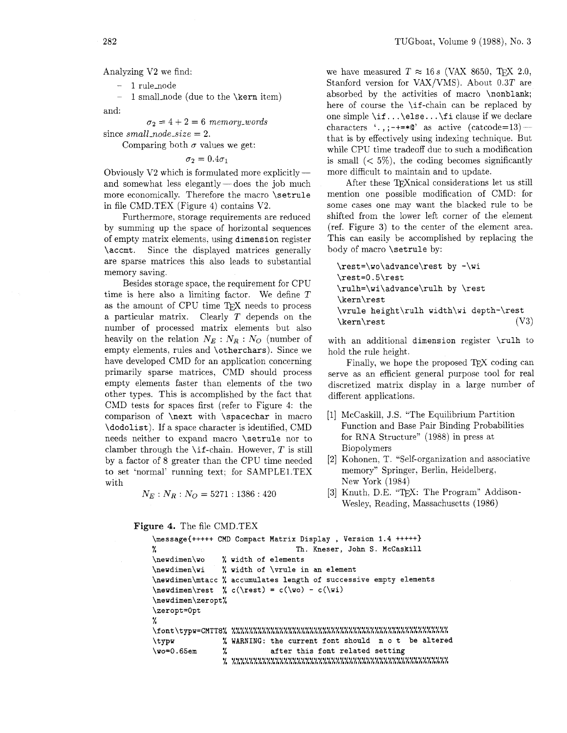Analyzing V2 we find:

- 1 rule\_node

1 small\_node (due to the \kern item) and:

 $\sigma_2 = 4 + 2 = 6$  *memory-words* 

since  $small\_node\_size = 2$ .

Comparing both  $\sigma$  values we get:

 $\sigma_2 = 0.4\sigma_1$ 

Obviously  $V2$  which is formulated more explicitly  $$ and somewhat less elegantly  $-\text{does the job much}$ more economically. Therefore the macro \setrule in file CMD.TEX (Figure 4) contains V2.

Furthermore, storage requirements are reduced by summing up the space of horizontal sequences of empty matrix elements. using dimension register \accmt. Since the displayed matrices generally are sparse matrices this also leads to substantial memory saving.

Besides storage space, the requirement for CPU time is here also a limiting factor. We define T as the amount of CPU time TEX needs to process a particular matrix. Clearly T depends on the number of processed matrix elements but also heavily on the relation  $N_E : N_R : N_O$  (number of empty elements, rules and \otherchars). Since we have developed CMD for an application concerning primarily sparse matrices, CMD should process empty elements faster than elements of the two other types. This is accomplished by the fact that CMD tests for spaces first (refer to Figure 4: the comparison of \next with \spacechar in macro \dodolist). If a space character is identified, CMD needs neither to expand macro \setrule nor to clamber through the  $\iota$  f-chain. However, T is still by a factor of 8 greater than the CPU time needed to set 'normal' running text; for SAMPLE1.TEX with

 $N_E$  :  $N_R$  :  $N_O$  = 5271 : 1386 : 420

**Figure** 4. The file CMD.TEX

```
TUGboat, Volume 9 (1988), No. 3
```
we have measured  $T \approx 16 s$  (VAX 8650, T<sub>E</sub>X 2.0, Stanford version for VAX/VMS). About 0.3T are absorbed by the activities of macro \nonblank; here of course the \if-chain can be replaced by one simple \if. . . \else. . . \f i clause if we declare characters '., ;  $\rightarrow$   $\rightarrow$   $\ast \infty$ ' as active (catcode=13) that is by effectively using indexing technique. But while CPU time tradeoff due to such a modification is small  $(< 5\%)$ , the coding becomes significantly more difficult to maintain and to update.

After these TEXnical considerations let us still mention one possible modification of CMD: for some cases one may want the blacked rule to be shifted from the lower left corner of the element (ref. Figure **3)** to the center of the element area. This can easily be accomplished by replacing the body of macro \setrule by:

\rest=\wo\advance\rest by -\wi  $\texttt{-0.5} \text{rest}$ \rulh=\wi\advance\rulh by \rest \kern\rest \vrule height\rulh width\wi depth-\rest \kern\rest  $(V3)$ 

with an additional dimension register \rulh to hold the rule height.

Finally, we hope the proposed  $T_F X$  coding can serve as an efficient general purpose tool for real discretized matrix display in a large number of different applications.

- [1] McCaskill, J.S. "The Equilibrium Partition Function and Base Pair Binding Probabilities for RNA Structure" (1988) in press at Biopolymers
- [2] Kohonen, T. "Self-organization and associative memory" Springer, Berlin, Heidelberg, New York (1984)
- [3] Knuth, D.E. "TFX: The Program" Addison-Wesley, Reading, Massachusetts (1986)

```
\message{+++++ CMD Compact Matrix Display , Version 1.4 +++++}
                         Th. Kneser, John S. McCaskill 
\newdimen\wo
            width of elements 
\newdimen\wi
            width of \vrule in an element 
accumulates length of successive empty elements 
\neqwdimen\text{ } \neq c(\text{ } v) - c(\text{ } v)\newdimen\zeropt%
\zeropt=0pt
٧.
% WARNING: the current font should not be altered
\typw
\sqrt{w}o=0.65em
            \gammaafter this font related setting
```